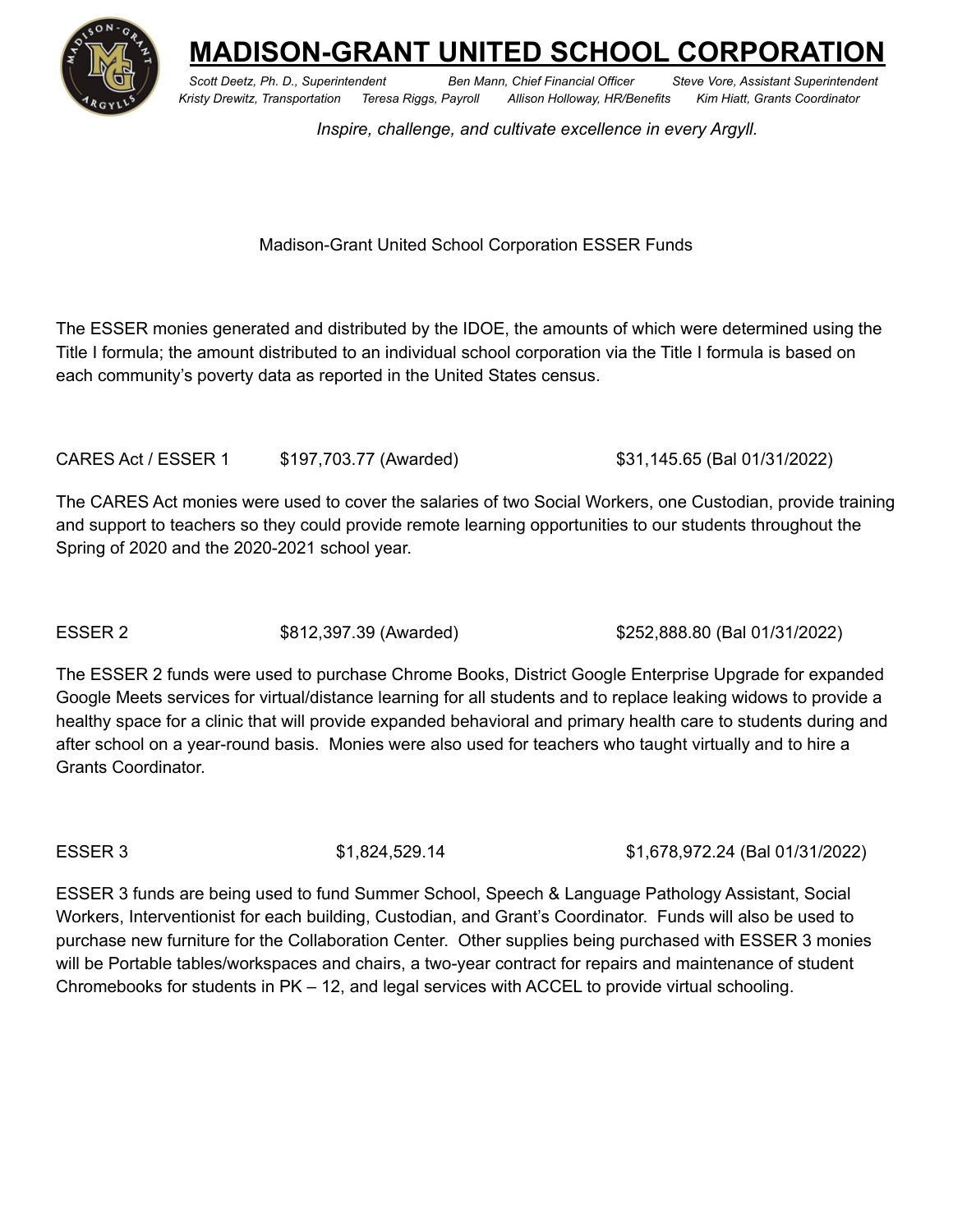

**MADISON-GRANT UNITED SCHOOL CORPORATION**

*Scott Deetz, Ph. D., Superintendent Ben Mann, Chief Financial Officer Steve Vore, Assistant Superintendent Kristy Drewitz, Transportation Teresa Riggs, Payroll Allison Holloway, HR/Benefits Kim Hiatt, Grants Coordinator*

*Inspire, challenge, and cultivate excellence in every Argyll.*

## Madison-Grant United School Corporation ESSER Funds

The ESSER monies generated and distributed by the IDOE, the amounts of which were determined using the Title I formula; the amount distributed to an individual school corporation via the Title I formula is based on each community's poverty data as reported in the United States census.

CARES Act / ESSER 1 \$197,703.77 (Awarded) \$31,145.65 (Bal 01/31/2022)

The CARES Act monies were used to cover the salaries of two Social Workers, one Custodian, provide training and support to teachers so they could provide remote learning opportunities to our students throughout the Spring of 2020 and the 2020-2021 school year.

ESSER 2 \$812,397.39 (Awarded) \$252,888.80 (Bal 01/31/2022)

The ESSER 2 funds were used to purchase Chrome Books, District Google Enterprise Upgrade for expanded Google Meets services for virtual/distance learning for all students and to replace leaking widows to provide a healthy space for a clinic that will provide expanded behavioral and primary health care to students during and after school on a year-round basis. Monies were also used for teachers who taught virtually and to hire a Grants Coordinator.

ESSER 3 \$1,824,529.14 \$1,678,972.24 (Bal 01/31/2022)

ESSER 3 funds are being used to fund Summer School, Speech & Language Pathology Assistant, Social Workers, Interventionist for each building, Custodian, and Grant's Coordinator. Funds will also be used to purchase new furniture for the Collaboration Center. Other supplies being purchased with ESSER 3 monies will be Portable tables/workspaces and chairs, a two-year contract for repairs and maintenance of student Chromebooks for students in PK – 12, and legal services with ACCEL to provide virtual schooling.